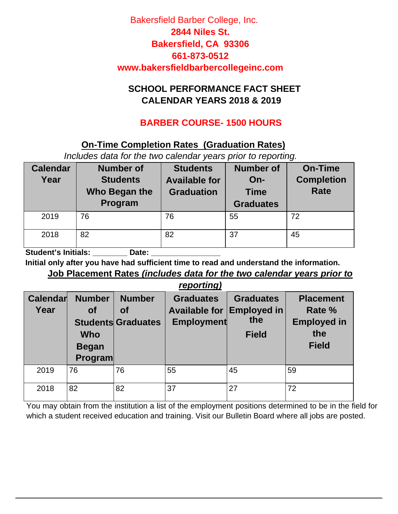#### **SCHOOL PERFORMANCE FACT SHEET CALENDAR YEARS 2018 & 2019**

### **BARBER COURSE- 1500 HOURS**

#### **On-Time Completion Rates (Graduation Rates)**

*Includes data for the two calendar years prior to reporting.* 

| <b>Calendar</b><br>Year | <b>Number of</b><br><b>Students</b><br>Who Began the<br>Program | <b>Students</b><br><b>Available for</b><br><b>Graduation</b> | <b>Number of</b><br>$On-$<br><b>Time</b><br><b>Graduates</b> | <b>On-Time</b><br><b>Completion</b><br><b>Rate</b> |
|-------------------------|-----------------------------------------------------------------|--------------------------------------------------------------|--------------------------------------------------------------|----------------------------------------------------|
| 2019                    | 76                                                              | 76                                                           | 55                                                           | 72                                                 |
| 2018                    | 82                                                              | 82                                                           | 37                                                           | 45                                                 |

Student's Initials: **Date:** Date:

**Initial only after you have had sufficient time to read and understand the information.**

#### **Job Placement Rates** *(includes data for the two calendar years prior to reporting)*

|                  | <i><b>I</b></i> COULTING                                     |                                                  |                                                               |                                                               |                                                                         |  |  |  |  |
|------------------|--------------------------------------------------------------|--------------------------------------------------|---------------------------------------------------------------|---------------------------------------------------------------|-------------------------------------------------------------------------|--|--|--|--|
| Calendar<br>Year | <b>Number</b><br><b>of</b><br>Who<br><b>Began</b><br>Program | <b>Number</b><br>Οf<br><b>Students Graduates</b> | <b>Graduates</b><br><b>Available for</b><br><b>Employment</b> | <b>Graduates</b><br><b>Employed in</b><br>the<br><b>Field</b> | <b>Placement</b><br>Rate %<br><b>Employed in</b><br>the<br><b>Field</b> |  |  |  |  |
| 2019             | 76                                                           | 76                                               | 55                                                            | 45                                                            | 59                                                                      |  |  |  |  |
| 2018             | 82                                                           | 82                                               | 37                                                            | 27                                                            | 72                                                                      |  |  |  |  |

You may obtain from the institution a list of the employment positions determined to be in the field for which a student received education and training. Visit our Bulletin Board where all jobs are posted.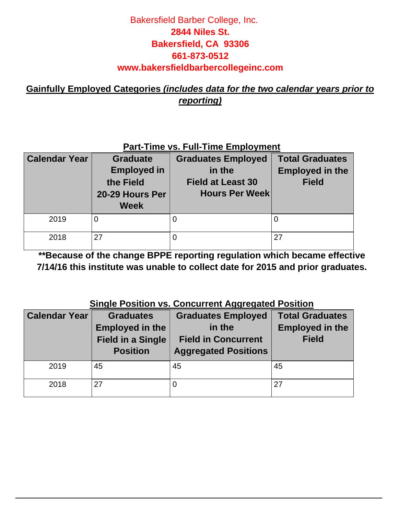**Gainfully Employed Categories** *(includes data for the two calendar years prior to reporting)*

#### **Part-Time vs. Full-Time Employment**

| <b>Calendar Year</b> | <b>Graduate</b><br><b>Employed in</b><br>the Field<br>20-29 Hours Per<br><b>Week</b> | <b>Graduates Employed</b><br>in the<br><b>Field at Least 30</b><br><b>Hours Per Week</b> | <b>Total Graduates</b><br><b>Employed in the</b><br><b>Field</b> |
|----------------------|--------------------------------------------------------------------------------------|------------------------------------------------------------------------------------------|------------------------------------------------------------------|
| 2019                 | 0                                                                                    |                                                                                          |                                                                  |
| 2018                 | 27                                                                                   | 0                                                                                        | 27                                                               |

**\*\*Because of the change BPPE reporting regulation which became effective 7/14/16 this institute was unable to collect date for 2015 and prior graduates.** 

#### **Single Position vs. Concurrent Aggregated Position**

| <b>Calendar Year</b> | <b>Graduates</b><br><b>Employed in the</b><br><b>Field in a Single</b><br><b>Position</b> | <b>Graduates Employed</b><br>in the<br><b>Field in Concurrent</b><br><b>Aggregated Positions</b> | <b>Total Graduates</b><br><b>Employed in the</b><br><b>Field</b> |
|----------------------|-------------------------------------------------------------------------------------------|--------------------------------------------------------------------------------------------------|------------------------------------------------------------------|
| 2019                 | 45                                                                                        | 45                                                                                               | 45                                                               |
| 2018                 | 27                                                                                        | 0                                                                                                | 27                                                               |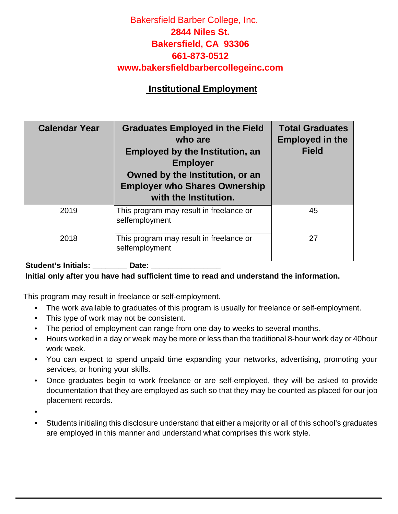#### **Institutional Employment**

| <b>Calendar Year</b><br><b>Graduates Employed in the Field</b><br>who are<br><b>Employed by the Institution, an</b><br><b>Employer</b><br>Owned by the Institution, or an<br><b>Employer who Shares Ownership</b><br>with the Institution. |                                                           | <b>Total Graduates</b><br><b>Employed in the</b><br><b>Field</b> |
|--------------------------------------------------------------------------------------------------------------------------------------------------------------------------------------------------------------------------------------------|-----------------------------------------------------------|------------------------------------------------------------------|
| 2019                                                                                                                                                                                                                                       | This program may result in freelance or<br>selfemployment | 45                                                               |
| 2018                                                                                                                                                                                                                                       | This program may result in freelance or<br>selfemployment | 27                                                               |

#### Student's Initials: **Date:** Date: **Initial only after you have had sufficient time to read and understand the information.**

This program may result in freelance or self-employment.

- The work available to graduates of this program is usually for freelance or self-employment.
- This type of work may not be consistent.
- The period of employment can range from one day to weeks to several months.
- Hours worked in a day or week may be more or less than the traditional 8-hour work day or 40hour work week.
- You can expect to spend unpaid time expanding your networks, advertising, promoting your services, or honing your skills.
- Once graduates begin to work freelance or are self-employed, they will be asked to provide documentation that they are employed as such so that they may be counted as placed for our job placement records.

•

• Students initialing this disclosure understand that either a majority or all of this school's graduates are employed in this manner and understand what comprises this work style.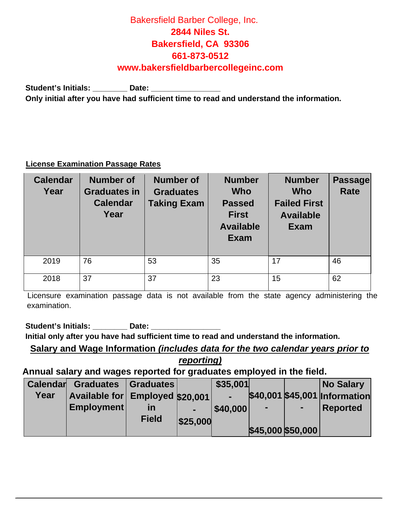Student's Initials: \_\_\_\_\_\_\_\_ Date: \_\_\_\_\_\_\_\_\_\_\_\_\_\_\_ **Only initial after you have had sufficient time to read and understand the information.**

#### **License Examination Passage Rates**

| <b>Calendar</b><br>Year | <b>Number of</b><br><b>Graduates in</b><br><b>Calendar</b><br>Year | <b>Number of</b><br><b>Graduates</b><br><b>Taking Exam</b> | <b>Number</b><br><b>Who</b><br><b>Passed</b><br><b>First</b><br><b>Available</b><br><b>Exam</b> | <b>Number</b><br><b>Who</b><br><b>Failed First</b><br><b>Available</b><br><b>Exam</b> | <b>Passage</b><br><b>Rate</b> |
|-------------------------|--------------------------------------------------------------------|------------------------------------------------------------|-------------------------------------------------------------------------------------------------|---------------------------------------------------------------------------------------|-------------------------------|
| 2019                    | 76                                                                 | 53                                                         | 35                                                                                              | 17                                                                                    | 46                            |
| 2018                    | 37                                                                 | 37                                                         | 23                                                                                              | 15                                                                                    | 62                            |

Licensure examination passage data is not available from the state agency administering the examination.

Student's Initials: **Date:** Date:

**Initial only after you have had sufficient time to read and understand the information.**

**Salary and Wage Information** *(includes data for the two calendar years prior to reporting)*

**Annual salary and wages reported for graduates employed in the field.** 

| <b>Calendar</b> | <b>Graduates</b>                | Graduates    |          | \$35,001       |                |                    | <b>No Salary</b>              |
|-----------------|---------------------------------|--------------|----------|----------------|----------------|--------------------|-------------------------------|
| Year            | Available for Employed \$20,001 |              |          | $\blacksquare$ |                |                    | \$40,001 \$45,001 Information |
|                 | <b>Employment</b>               | in           |          | \$40,000       | $\blacksquare$ | $\blacksquare$     | <b>Reported</b>               |
|                 |                                 | <b>Field</b> | \$25,000 |                |                |                    |                               |
|                 |                                 |              |          |                |                | $$45,000$ \$50,000 |                               |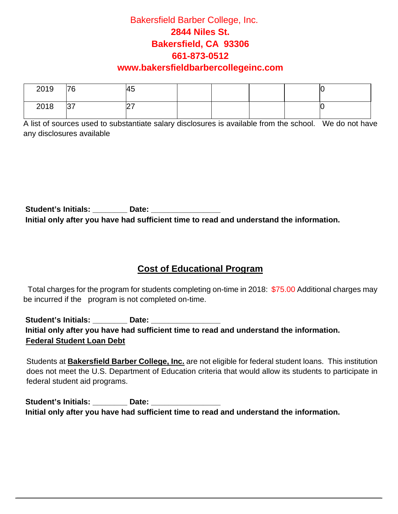| 2019 | 76 | 45 |  |  | ∼ |
|------|----|----|--|--|---|
| 2018 | 37 | ┕  |  |  |   |

A list of sources used to substantiate salary disclosures is available from the school. We do not have any disclosures available

Student's Initials: Date: Date: **Initial only after you have had sufficient time to read and understand the information.**

#### **Cost of Educational Program**

 Total charges for the program for students completing on-time in 2018: \$75.00 Additional charges may be incurred if the program is not completed on-time.

Student's Initials: **Date: Date: Date: Propriet assets Initial only after you have had sufficient time to read and understand the information. Federal Student Loan Debt**

Students at **Bakersfield Barber College, Inc.** are not eligible for federal student loans. This institution does not meet the U.S. Department of Education criteria that would allow its students to participate in federal student aid programs.

Student's Initials: **Date: Date: Date: Date: Date: Date: Date: Date: Date: Date: Date: Date: Date: Date: Date: Date: Date: Date: Date: Date: Date: Date: Date: Date: Date: D Initial only after you have had sufficient time to read and understand the information.**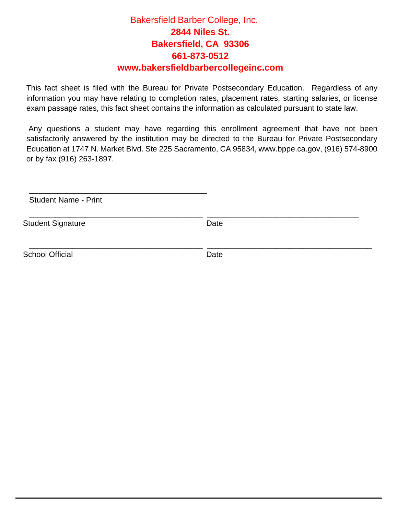This fact sheet is filed with the Bureau for Private Postsecondary Education. Regardless of any information you may have relating to completion rates, placement rates, starting salaries, or license exam passage rates, this fact sheet contains the information as calculated pursuant to state law.

Any questions a student may have regarding this enrollment agreement that have not been satisfactorily answered by the institution may be directed to the Bureau for Private Postsecondary Education at 1747 N. Market Blvd. Ste 225 [Sacramento, CA 95](http://www.bppe.ca.gov/)834, www.bppe.ca.gov, (916) 574-8900 or by fax (916) 263-1897.

Student Name - Print

\_\_\_\_\_\_\_\_\_\_\_\_\_\_\_\_\_\_\_\_\_\_\_\_\_\_\_\_\_\_\_\_\_\_\_\_\_\_\_\_\_

Student Signature Date

\_\_\_\_\_\_\_\_\_\_\_\_\_\_\_\_\_\_\_\_\_\_\_\_\_\_\_\_\_\_\_\_\_\_\_\_\_\_\_\_ \_\_\_\_\_\_\_\_\_\_\_\_\_\_\_\_\_\_\_\_\_\_\_\_\_\_\_\_\_\_\_\_\_\_\_

\_\_\_\_\_\_\_\_\_\_\_\_\_\_\_\_\_\_\_\_\_\_\_\_\_\_\_\_\_\_\_\_\_\_\_\_\_\_\_\_ \_\_\_\_\_\_\_\_\_\_\_\_\_\_\_\_\_\_\_\_\_\_\_\_\_\_\_\_\_\_\_\_\_\_\_\_\_\_

School Official Date Date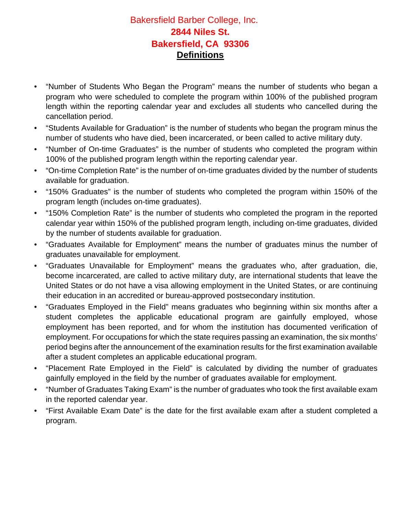#### Bakersfield Barber College, Inc. **2844 Niles St. Bakersfield, CA 93306 Definitions**

- "Number of Students Who Began the Program" means the number of students who began a program who were scheduled to complete the program within 100% of the published program length within the reporting calendar year and excludes all students who cancelled during the cancellation period.
- "Students Available for Graduation" is the number of students who began the program minus the number of students who have died, been incarcerated, or been called to active military duty.
- "Number of On-time Graduates" is the number of students who completed the program within 100% of the published program length within the reporting calendar year.
- "On-time Completion Rate" is the number of on-time graduates divided by the number of students available for graduation.
- "150% Graduates" is the number of students who completed the program within 150% of the program length (includes on-time graduates).
- "150% Completion Rate" is the number of students who completed the program in the reported calendar year within 150% of the published program length, including on-time graduates, divided by the number of students available for graduation.
- "Graduates Available for Employment" means the number of graduates minus the number of graduates unavailable for employment.
- "Graduates Unavailable for Employment" means the graduates who, after graduation, die, become incarcerated, are called to active military duty, are international students that leave the United States or do not have a visa allowing employment in the United States, or are continuing their education in an accredited or bureau-approved postsecondary institution.
- "Graduates Employed in the Field" means graduates who beginning within six months after a student completes the applicable educational program are gainfully employed, whose employment has been reported, and for whom the institution has documented verification of employment. For occupations for which the state requires passing an examination, the six months' period begins after the announcement of the examination results for the first examination available after a student completes an applicable educational program.
- "Placement Rate Employed in the Field" is calculated by dividing the number of graduates gainfully employed in the field by the number of graduates available for employment.
- "Number of Graduates Taking Exam" is the number of graduates who took the first available exam in the reported calendar year.
- "First Available Exam Date" is the date for the first available exam after a student completed a program.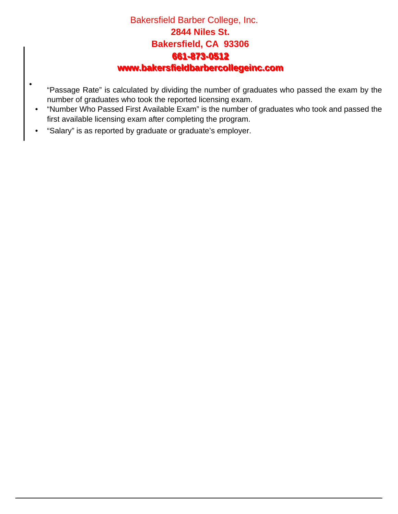## Bakersfield Barber College, Inc. **2844 Niles St. Bakersfield, CA 93306 661-873-0512 661-873-0512 www.bakersfieldbarbercollegeinc.com www.bakersfieldbarbercollegeinc.com**

- "Passage Rate" is calculated by dividing the number of graduates who passed the exam by the number of graduates who took the reported licensing exam.
- "Number Who Passed First Available Exam" is the number of graduates who took and passed the first available licensing exam after completing the program.
- "Salary" is as reported by graduate or graduate's employer.

•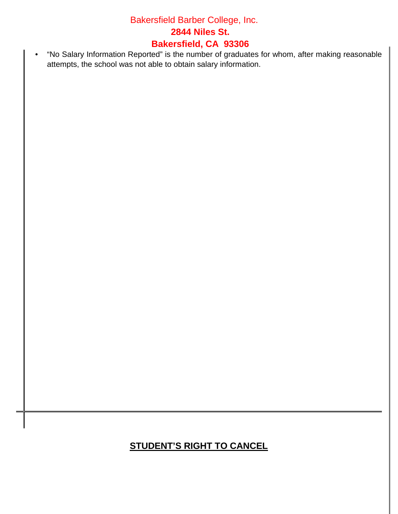## Bakersfield Barber College, Inc. **2844 Niles St. Bakersfield, CA 93306**

• "No Salary Information Reported" is the number of graduates for whom, after making reasonable attempts, the school was not able to obtain salary information.

# **STUDENT'S RIGHT TO CANCEL**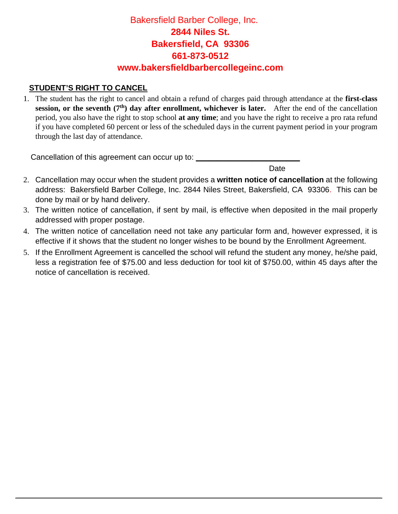#### **STUDENT'S RIGHT TO CANCEL**

1. The student has the right to cancel and obtain a refund of charges paid through attendance at the **first-class session, or the seventh (7<sup>th</sup>) day after enrollment, whichever is later.** After the end of the cancellation period, you also have the right to stop school **at any time**; and you have the right to receive a pro rata refund if you have completed 60 percent or less of the scheduled days in the current payment period in your program through the last day of attendance.

Cancellation of this agreement can occur up to: **\_\_\_\_\_\_\_\_\_\_\_\_\_\_\_\_\_\_\_\_\_\_\_\_**

**Date** and the contract of the contract of the contract of the contract of the contract of the contract of the contract of the contract of the contract of the contract of the contract of the contract of the contract of the

- 2. Cancellation may occur when the student provides a **written notice of cancellation** at the following address: Bakersfield Barber College, Inc. 2844 Niles Street, Bakersfield, CA 93306. This can be done by mail or by hand delivery.
- 3. The written notice of cancellation, if sent by mail, is effective when deposited in the mail properly addressed with proper postage.
- 4. The written notice of cancellation need not take any particular form and, however expressed, it is effective if it shows that the student no longer wishes to be bound by the Enrollment Agreement.
- 5. If the Enrollment Agreement is cancelled the school will refund the student any money, he/she paid, less a registration fee of \$75.00 and less deduction for tool kit of \$750.00, within 45 days after the notice of cancellation is received.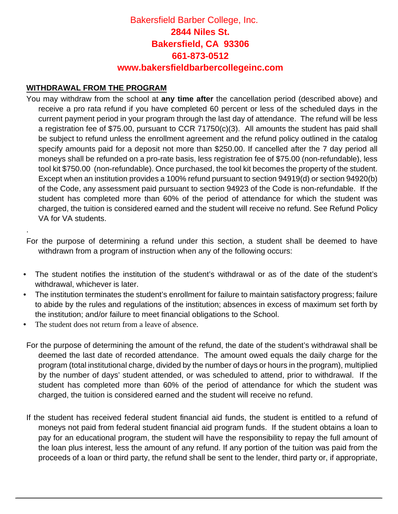#### **WITHDRAWAL FROM THE PROGRAM**

.

You may withdraw from the school at **any time after** the cancellation period (described above) and receive a pro rata refund if you have completed 60 percent or less of the scheduled days in the current payment period in your program through the last day of attendance. The refund will be less a registration fee of \$75.00, pursuant to CCR 71750(c)(3). All amounts the student has paid shall be subject to refund unless the enrollment agreement and the refund policy outlined in the catalog specify amounts paid for a deposit not more than \$250.00. If cancelled after the 7 day period all moneys shall be refunded on a pro-rate basis, less registration fee of \$75.00 (non-refundable), less tool kit \$750.00 (non-refundable). Once purchased, the tool kit becomes the property of the student. Except when an institution provides a 100% refund pursuant to section 94919(d) or section 94920(b) of the Code, any assessment paid pursuant to section 94923 of the Code is non-refundable. If the student has completed more than 60% of the period of attendance for which the student was charged, the tuition is considered earned and the student will receive no refund. See Refund Policy VA for VA students.

For the purpose of determining a refund under this section, a student shall be deemed to have withdrawn from a program of instruction when any of the following occurs:

- The student notifies the institution of the student's withdrawal or as of the date of the student's withdrawal, whichever is later.
- The institution terminates the student's enrollment for failure to maintain satisfactory progress; failure to abide by the rules and regulations of the institution; absences in excess of maximum set forth by the institution; and/or failure to meet financial obligations to the School.
- The student does not return from a leave of absence.
- For the purpose of determining the amount of the refund, the date of the student's withdrawal shall be deemed the last date of recorded attendance. The amount owed equals the daily charge for the program (total institutional charge, divided by the number of days or hours in the program), multiplied by the number of days' student attended, or was scheduled to attend, prior to withdrawal. If the student has completed more than 60% of the period of attendance for which the student was charged, the tuition is considered earned and the student will receive no refund.
- If the student has received federal student financial aid funds, the student is entitled to a refund of moneys not paid from federal student financial aid program funds. If the student obtains a loan to pay for an educational program, the student will have the responsibility to repay the full amount of the loan plus interest, less the amount of any refund. If any portion of the tuition was paid from the proceeds of a loan or third party, the refund shall be sent to the lender, third party or, if appropriate,